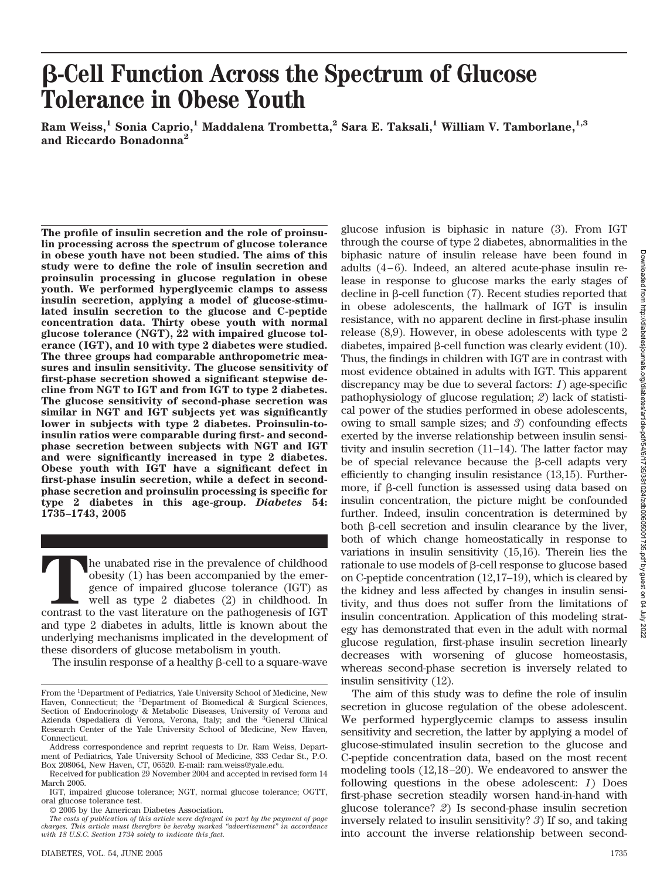# **-Cell Function Across the Spectrum of Glucose Tolerance in Obese Youth**

**Ram Weiss,1 Sonia Caprio,1 Maddalena Trombetta,2 Sara E. Taksali,1 William V. Tamborlane,1,3 and Riccardo Bonadonna2**

**The profile of insulin secretion and the role of proinsulin processing across the spectrum of glucose tolerance in obese youth have not been studied. The aims of this study were to define the role of insulin secretion and proinsulin processing in glucose regulation in obese youth. We performed hyperglycemic clamps to assess insulin secretion, applying a model of glucose-stimulated insulin secretion to the glucose and C-peptide concentration data. Thirty obese youth with normal glucose tolerance (NGT), 22 with impaired glucose tolerance (IGT), and 10 with type 2 diabetes were studied. The three groups had comparable anthropometric measures and insulin sensitivity. The glucose sensitivity of first-phase secretion showed a significant stepwise decline from NGT to IGT and from IGT to type 2 diabetes. The glucose sensitivity of second-phase secretion was similar in NGT and IGT subjects yet was significantly lower in subjects with type 2 diabetes. Proinsulin-toinsulin ratios were comparable during first- and secondphase secretion between subjects with NGT and IGT and were significantly increased in type 2 diabetes. Obese youth with IGT have a significant defect in first-phase insulin secretion, while a defect in secondphase secretion and proinsulin processing is specific for type 2 diabetes in this age-group.** *Diabetes* **54: 1735–1743, 2005**

The unabated rise in the prevalence of childhood obesity (1) has been accompanied by the emergence of impaired glucose tolerance (IGT) as well as type 2 diabetes (2) in childhood. In contrast to the vast literature on the obesity (1) has been accompanied by the emergence of impaired glucose tolerance (IGT) as well as type 2 diabetes (2) in childhood. In and type 2 diabetes in adults, little is known about the underlying mechanisms implicated in the development of these disorders of glucose metabolism in youth.

The insulin response of a healthy  $\beta$ -cell to a square-wave

© 2005 by the American Diabetes Association.

glucose infusion is biphasic in nature (3). From IGT through the course of type 2 diabetes, abnormalities in the biphasic nature of insulin release have been found in adults (4–6). Indeed, an altered acute-phase insulin release in response to glucose marks the early stages of decline in  $\beta$ -cell function (7). Recent studies reported that in obese adolescents, the hallmark of IGT is insulin resistance, with no apparent decline in first-phase insulin release (8,9). However, in obese adolescents with type 2 diabetes, impaired B-cell function was clearly evident (10). Thus, the findings in children with IGT are in contrast with most evidence obtained in adults with IGT. This apparent discrepancy may be due to several factors: *1*) age-specific pathophysiology of glucose regulation; *2*) lack of statistical power of the studies performed in obese adolescents, owing to small sample sizes; and *3*) confounding effects exerted by the inverse relationship between insulin sensitivity and insulin secretion (11–14). The latter factor may be of special relevance because the  $\beta$ -cell adapts very efficiently to changing insulin resistance (13,15). Furthermore, if  $\beta$ -cell function is assessed using data based on insulin concentration, the picture might be confounded further. Indeed, insulin concentration is determined by both  $\beta$ -cell secretion and insulin clearance by the liver, both of which change homeostatically in response to variations in insulin sensitivity (15,16). Therein lies the rationale to use models of  $\beta$ -cell response to glucose based on C-peptide concentration (12,17–19), which is cleared by the kidney and less affected by changes in insulin sensitivity, and thus does not suffer from the limitations of insulin concentration. Application of this modeling strategy has demonstrated that even in the adult with normal glucose regulation, first-phase insulin secretion linearly decreases with worsening of glucose homeostasis, whereas second-phase secretion is inversely related to insulin sensitivity (12). The aim of this study was to define the role of insulin

secretion in glucose regulation of the obese adolescent. We performed hyperglycemic clamps to assess insulin sensitivity and secretion, the latter by applying a model of glucose-stimulated insulin secretion to the glucose and C-peptide concentration data, based on the most recent modeling tools (12,18–20). We endeavored to answer the following questions in the obese adolescent: *1*) Does first-phase secretion steadily worsen hand-in-hand with glucose tolerance? *2*) Is second-phase insulin secretion inversely related to insulin sensitivity? *3*) If so, and taking into account the inverse relationship between second-

From the <sup>1</sup>Department of Pediatrics, Yale University School of Medicine, New Haven, Connecticut; the <sup>2</sup>Department of Biomedical & Surgical Sciences, Section of Endocrinology & Metabolic Diseases, University of Verona and Azienda Ospedaliera di Verona, Verona, Italy; and the <sup>3</sup>General Clinical Research Center of the Yale University School of Medicine, New Haven, Connecticut.

Address correspondence and reprint requests to Dr. Ram Weiss, Department of Pediatrics, Yale University School of Medicine, 333 Cedar St., P.O. Box 208064, New Haven, CT, 06520. E-mail: ram.weiss@yale.edu.

Received for publication 29 November 2004 and accepted in revised form 14 March 2005.

IGT, impaired glucose tolerance; NGT, normal glucose tolerance; OGTT, oral glucose tolerance test.

*The costs of publication of this article were defrayed in part by the payment of page charges. This article must therefore be hereby marked "advertisement" in accordance with 18 U.S.C. Section 1734 solely to indicate this fact.*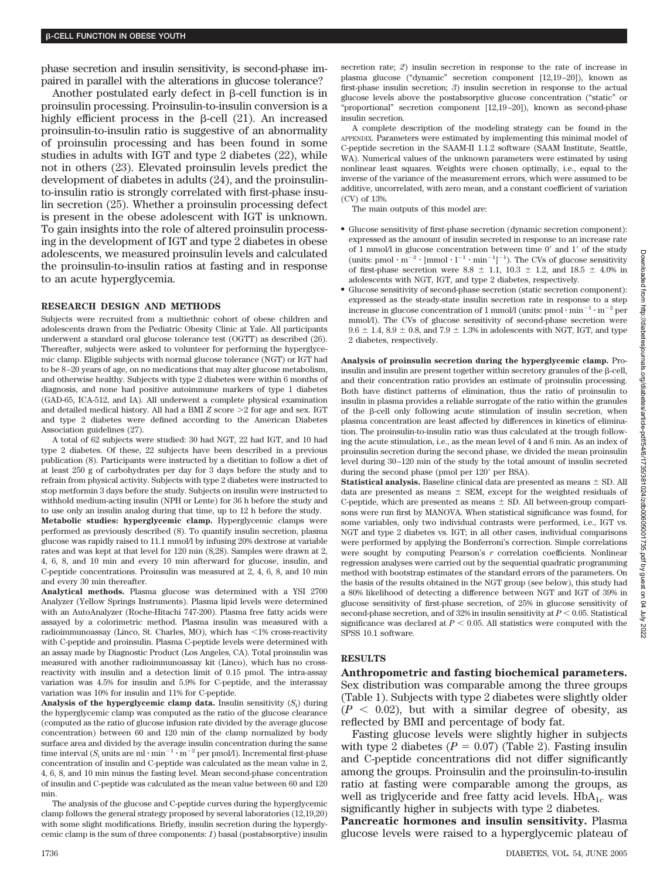phase secretion and insulin sensitivity, is second-phase impaired in parallel with the alterations in glucose tolerance?

Another postulated early defect in  $\beta$ -cell function is in proinsulin processing. Proinsulin-to-insulin conversion is a highly efficient process in the  $\beta$ -cell (21). An increased proinsulin-to-insulin ratio is suggestive of an abnormality of proinsulin processing and has been found in some studies in adults with IGT and type 2 diabetes (22), while not in others (23). Elevated proinsulin levels predict the development of diabetes in adults (24), and the proinsulinto-insulin ratio is strongly correlated with first-phase insulin secretion (25). Whether a proinsulin processing defect is present in the obese adolescent with IGT is unknown. To gain insights into the role of altered proinsulin processing in the development of IGT and type 2 diabetes in obese adolescents, we measured proinsulin levels and calculated the proinsulin-to-insulin ratios at fasting and in response to an acute hyperglycemia.

#### **RESEARCH DESIGN AND METHODS**

Subjects were recruited from a multiethnic cohort of obese children and adolescents drawn from the Pediatric Obesity Clinic at Yale. All participants underwent a standard oral glucose tolerance test (OGTT) as described (26). Thereafter, subjects were asked to volunteer for performing the hyperglycemic clamp. Eligible subjects with normal glucose tolerance (NGT) or IGT had to be 8–20 years of age, on no medications that may alter glucose metabolism, and otherwise healthy. Subjects with type 2 diabetes were within 6 months of diagnosis, and none had positive autoimmune markers of type 1 diabetes (GAD-65, ICA-512, and IA). All underwent a complete physical examination and detailed medical history. All had a BMI *Z* score >2 for age and sex. IGT and type 2 diabetes were defined according to the American Diabetes Association guidelines (27).

A total of 62 subjects were studied: 30 had NGT, 22 had IGT, and 10 had type 2 diabetes. Of these, 22 subjects have been described in a previous publication (8). Participants were instructed by a dietitian to follow a diet of at least 250 g of carbohydrates per day for 3 days before the study and to refrain from physical activity. Subjects with type 2 diabetes were instructed to stop metformin 3 days before the study. Subjects on insulin were instructed to withhold medium-acting insulin (NPH or Lente) for 36 h before the study and to use only an insulin analog during that time, up to 12 h before the study.

**Metabolic studies: hyperglycemic clamp.** Hyperglycemic clamps were performed as previously described (8). To quantify insulin secretion, plasma glucose was rapidly raised to 11.1 mmol/l by infusing 20% dextrose at variable rates and was kept at that level for 120 min (8,28). Samples were drawn at 2, 4, 6, 8, and 10 min and every 10 min afterward for glucose, insulin, and C-peptide concentrations. Proinsulin was measured at 2, 4, 6, 8, and 10 min and every 30 min thereafter.

**Analytical methods.** Plasma glucose was determined with a YSI 2700 Analyzer (Yellow Springs Instruments). Plasma lipid levels were determined with an AutoAnalyzer (Roche-Hitachi 747-200). Plasma free fatty acids were assayed by a colorimetric method. Plasma insulin was measured with a radioimmunoassay (Linco, St. Charles, MO), which has <1% cross-reactivity with C-peptide and proinsulin. Plasma C-peptide levels were determined with an assay made by Diagnostic Product (Los Angeles, CA). Total proinsulin was measured with another radioimmunoassay kit (Linco), which has no crossreactivity with insulin and a detection limit of 0.15 pmol. The intra-assay variation was 4.5% for insulin and 5.9% for C-peptide, and the interassay variation was 10% for insulin and 11% for C-peptide.

**Analysis of the hyperglycemic clamp data.** Insulin sensitivity (*S*<sup>i</sup> ) during the hyperglycemic clamp was computed as the ratio of the glucose clearance (computed as the ratio of glucose infusion rate divided by the average glucose concentration) between 60 and 120 min of the clamp normalized by body surface area and divided by the average insulin concentration during the same time interval (*S*<sub>i</sub> units are ml  $\cdot$  min<sup>-1</sup> $\cdot$  m<sup>-2</sup> per pmol/l). Incremental first-phase concentration of insulin and C-peptide was calculated as the mean value in 2, 4, 6, 8, and 10 min minus the fasting level. Mean second-phase concentration of insulin and C-peptide was calculated as the mean value between 60 and 120 min.

The analysis of the glucose and C-peptide curves during the hyperglycemic clamp follows the general strategy proposed by several laboratories (12,19,20) with some slight modifications. Briefly, insulin secretion during the hyperglycemic clamp is the sum of three components: *1*) basal (postabsorptive) insulin secretion rate; *2*) insulin secretion in response to the rate of increase in plasma glucose ("dynamic" secretion component [12,19–20]), known as first-phase insulin secretion; *3*) insulin secretion in response to the actual glucose levels above the postabsorptive glucose concentration ("static" or "proportional" secretion component [12,19–20]), known as second-phase insulin secretion.

A complete description of the modeling strategy can be found in the APPENDIX. Parameters were estimated by implementing this minimal model of C-peptide secretion in the SAAM-II 1.1.2 software (SAAM Institute, Seattle, WA). Numerical values of the unknown parameters were estimated by using nonlinear least squares. Weights were chosen optimally, i.e., equal to the inverse of the variance of the measurement errors, which were assumed to be additive, uncorrelated, with zero mean, and a constant coefficient of variation (CV) of 13%.

The main outputs of this model are:

- Glucose sensitivity of first-phase secretion (dynamic secretion component): expressed as the amount of insulin secreted in response to an increase rate of 1 mmol/l in glucose concentration between time  $0'$  and  $1'$  of the study (units: pmol  $\cdot$  m<sup>-2</sup>  $\cdot$  [mmol  $\cdot$  l<sup>-1</sup>  $\cdot$  min<sup>-1</sup>]<sup>-1</sup>). The CVs of glucose sensitivity of first-phase secretion were 8.8  $\pm$  1.1, 10.3  $\pm$  1.2, and 18.5  $\pm$  4.0% in adolescents with NGT, IGT, and type 2 diabetes, respectively.
- Glucose sensitivity of second-phase secretion (static secretion component): expressed as the steady-state insulin secretion rate in response to a step increase in glucose concentration of 1 mmol/l (units:  $pmol \cdot min^{-1} \cdot m^{-2}$  per mmol/l). The CVs of glucose sensitivity of second-phase secretion were  $9.6 \pm 1.4$ ,  $8.9 \pm 0.8$ , and  $7.9 \pm 1.3$ % in adolescents with NGT, IGT, and type 2 diabetes, respectively.

**Analysis of proinsulin secretion during the hyperglycemic clamp.** Proinsulin and insulin are present together within secretory granules of the  $\beta$ -cell, and their concentration ratio provides an estimate of proinsulin processing. Both have distinct patterns of elimination, thus the ratio of proinsulin to insulin in plasma provides a reliable surrogate of the ratio within the granules of the  $\beta$ -cell only following acute stimulation of insulin secretion, when plasma concentration are least affected by differences in kinetics of elimination. The proinsulin-to-insulin ratio was thus calculated at the trough following the acute stimulation, i.e., as the mean level of 4 and 6 min. As an index of proinsulin secretion during the second phase, we divided the mean proinsulin level during 30–120 min of the study by the total amount of insulin secreted during the second phase (pmol per 120' per BSA).

**Statistical analysis.** Baseline clinical data are presented as means  $\pm$  SD. All data are presented as means  $\pm$  SEM, except for the weighted residuals of C-peptide, which are presented as means  $\pm$  SD. All between-group comparisons were run first by MANOVA. When statistical significance was found, for some variables, only two individual contrasts were performed, i.e., IGT vs. NGT and type 2 diabetes vs. IGT; in all other cases, individual comparisons were performed by applying the Bonferroni's correction. Simple correlations were sought by computing Pearson's *r* correlation coefficients. Nonlinear regression analyses were carried out by the sequential quadratic programming method with bootstrap estimates of the standard errors of the parameters. On the basis of the results obtained in the NGT group (see below), this study had a 80% likelihood of detecting a difference between NGT and IGT of 39% in glucose sensitivity of first-phase secretion, of 25% in glucose sensitivity of second-phase secretion, and of  $32\%$  in insulin sensitivity at  $P < 0.05$ . Statistical significance was declared at  $P < 0.05$ . All statistics were computed with the SPSS 10.1 software.

## **RESULTS**

**Anthropometric and fasting biochemical parameters.**

Sex distribution was comparable among the three groups (Table 1). Subjects with type 2 diabetes were slightly older  $(P < 0.02)$ , but with a similar degree of obesity, as reflected by BMI and percentage of body fat.

Fasting glucose levels were slightly higher in subjects with type 2 diabetes  $(P = 0.07)$  (Table 2). Fasting insulin and C-peptide concentrations did not differ significantly among the groups. Proinsulin and the proinsulin-to-insulin ratio at fasting were comparable among the groups, as well as triglyceride and free fatty acid levels.  $HbA_{1c}$  was significantly higher in subjects with type 2 diabetes.

**Pancreatic hormones and insulin sensitivity.** Plasma glucose levels were raised to a hyperglycemic plateau of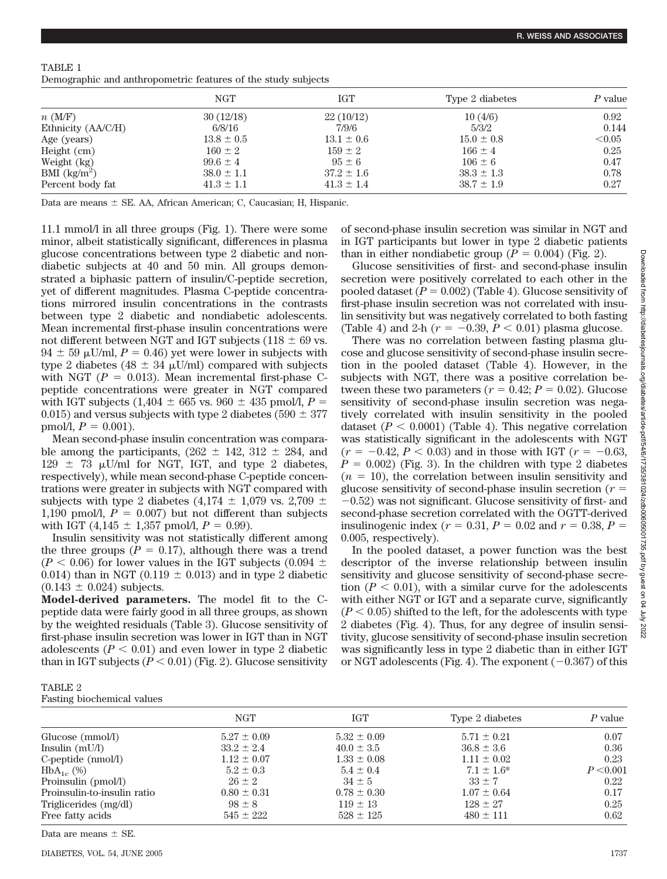| TABLE 1                                                       |  |  |  |
|---------------------------------------------------------------|--|--|--|
| Demographic and anthropometric features of the study subjects |  |  |  |

| <b>NGT</b>     | IGT            | Type 2 diabetes | P value |
|----------------|----------------|-----------------|---------|
| 30(12/18)      | 22(10/12)      | 10(4/6)         | 0.92    |
| 6/8/16         | 7/9/6          | 5/3/2           | 0.144   |
| $13.8 \pm 0.5$ | $13.1 \pm 0.6$ | $15.0 \pm 0.8$  | < 0.05  |
| $160 \pm 2$    | $159 \pm 2$    | $166 \pm 4$     | 0.25    |
| $99.6 \pm 4$   | $95 \pm 6$     | $106 \pm 6$     | 0.47    |
| $38.0 \pm 1.1$ | $37.2 \pm 1.6$ | $38.3 \pm 1.3$  | 0.78    |
| $41.3 \pm 1.1$ | $41.3 \pm 1.4$ | $38.7 \pm 1.9$  | 0.27    |
|                |                |                 |         |

Data are means  $\pm$  SE. AA, African American; C, Caucasian; H, Hispanic.

11.1 mmol/l in all three groups (Fig. 1). There were some minor, albeit statistically significant, differences in plasma glucose concentrations between type 2 diabetic and nondiabetic subjects at 40 and 50 min. All groups demonstrated a biphasic pattern of insulin/C-peptide secretion, yet of different magnitudes. Plasma C-peptide concentrations mirrored insulin concentrations in the contrasts between type 2 diabetic and nondiabetic adolescents. Mean incremental first-phase insulin concentrations were not different between NGT and IGT subjects (118  $\pm$  69 vs.  $94 \pm 59$  µU/ml,  $P = 0.46$ ) yet were lower in subjects with type 2 diabetes (48  $\pm$  34  $\mu$ U/ml) compared with subjects with NGT  $(P = 0.013)$ . Mean incremental first-phase Cpeptide concentrations were greater in NGT compared with IGT subjects (1,404  $\pm$  665 vs. 960  $\pm$  435 pmol/l, *P* = 0.015) and versus subjects with type 2 diabetes (590  $\pm$  377 pmol/l,  $P = 0.001$ ).

Mean second-phase insulin concentration was comparable among the participants,  $(262 \pm 142, 312 \pm 284, )$  and  $129 \pm 73$  µU/ml for NGT, IGT, and type 2 diabetes, respectively), while mean second-phase C-peptide concentrations were greater in subjects with NGT compared with subjects with type 2 diabetes (4,174  $\pm$  1,079 vs. 2,709  $\pm$ 1,190 pmol/l,  $P = 0.007$  but not different than subjects with IGT (4,145  $\pm$  1,357 pmol/l,  $P = 0.99$ ).

Insulin sensitivity was not statistically different among the three groups  $(P = 0.17)$ , although there was a trend  $(P < 0.06)$  for lower values in the IGT subjects  $(0.094 \pm 0.009)$ 0.014) than in NGT (0.119  $\pm$  0.013) and in type 2 diabetic  $(0.143 \pm 0.024)$  subjects.

**Model-derived parameters.** The model fit to the Cpeptide data were fairly good in all three groups, as shown by the weighted residuals (Table 3). Glucose sensitivity of first-phase insulin secretion was lower in IGT than in NGT adolescents  $(P < 0.01)$  and even lower in type 2 diabetic than in IGT subjects  $(P < 0.01)$  (Fig. 2). Glucose sensitivity

of second-phase insulin secretion was similar in NGT and in IGT participants but lower in type 2 diabetic patients than in either nondiabetic group  $(P = 0.004)$  (Fig. 2).

Glucose sensitivities of first- and second-phase insulin secretion were positively correlated to each other in the pooled dataset  $(P = 0.002)$  (Table 4). Glucose sensitivity of first-phase insulin secretion was not correlated with insulin sensitivity but was negatively correlated to both fasting (Table 4) and 2-h ( $r = -0.39, P < 0.01$ ) plasma glucose.

There was no correlation between fasting plasma glucose and glucose sensitivity of second-phase insulin secretion in the pooled dataset (Table 4). However, in the subjects with NGT, there was a positive correlation between these two parameters  $(r = 0.42; P = 0.02)$ . Glucose sensitivity of second-phase insulin secretion was negatively correlated with insulin sensitivity in the pooled dataset  $(P < 0.0001)$  (Table 4). This negative correlation was statistically significant in the adolescents with NGT  $(r = -0.42, P < 0.03)$  and in those with IGT  $(r = -0.63, P < 0.03)$  $P = 0.002$ ) (Fig. 3). In the children with type 2 diabetes  $(n = 10)$ , the correlation between insulin sensitivity and glucose sensitivity of second-phase insulin secretion (*r*  $-0.52$ ) was not significant. Glucose sensitivity of first- and second-phase secretion correlated with the OGTT-derived insulinogenic index ( $r = 0.31$ ,  $P = 0.02$  and  $r = 0.38$ ,  $P =$ 0.005, respectively).

In the pooled dataset, a power function was the best descriptor of the inverse relationship between insulin sensitivity and glucose sensitivity of second-phase secretion  $(P < 0.01)$ , with a similar curve for the adolescents with either NGT or IGT and a separate curve, significantly  $(P < 0.05)$  shifted to the left, for the adolescents with type 2 diabetes (Fig. 4). Thus, for any degree of insulin sensitivity, glucose sensitivity of second-phase insulin secretion was significantly less in type 2 diabetic than in either IGT or NGT adolescents (Fig. 4). The exponent  $(-0.367)$  of this

| TABLE 2 |                                   |  |
|---------|-----------------------------------|--|
|         | <b>Fasting biochemical values</b> |  |

|                             | <b>NGT</b>      | <b>IGT</b>      | Type 2 diabetes | P value   |
|-----------------------------|-----------------|-----------------|-----------------|-----------|
| Glucose (mmol/l)            | $5.27 \pm 0.09$ | $5.32 \pm 0.09$ | $5.71 \pm 0.21$ | 0.07      |
| Insulin $(mU/l)$            | $33.2 \pm 2.4$  | $40.0 \pm 3.5$  | $36.8 \pm 3.6$  | 0.36      |
| $C$ -peptide $(mmol/l)$     | $1.12 \pm 0.07$ | $1.33 \pm 0.08$ | $1.11 \pm 0.02$ | 0.23      |
| $HbA_{1c}$ (%)              | $5.2 \pm 0.3$   | $5.4 \pm 0.4$   | $7.1 \pm 1.6^*$ | P < 0.001 |
| Proinsulin (pmol/l)         | $26 \pm 2$      | $34 \pm 5$      | $33 \pm 7$      | 0.22      |
| Proinsulin-to-insulin ratio | $0.80 \pm 0.31$ | $0.78 \pm 0.30$ | $1.07 \pm 0.64$ | 0.17      |
| Triglicerides (mg/dl)       | $98 \pm 8$      | $119 \pm 13$    | $128 \pm 27$    | 0.25      |
| Free fatty acids            | $545 \pm 222$   | $528 \pm 125$   | $480 \pm 111$   | 0.62      |

Data are means  $\pm$  SE.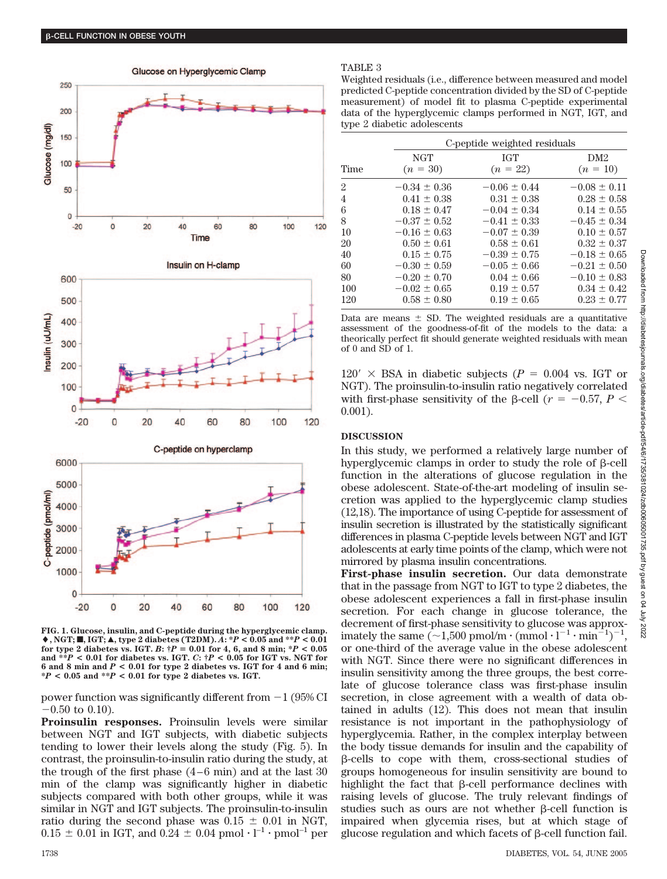

Glucose on Hyperglycemic Clamp





**FIG. 1. Glucose, insulin, and C-peptide during the hyperglycemic clamp.**  $\blacklozenge$ , NGT;  $\blacksquare$ , IGT;  $\blacktriangle$ , type 2 diabetes (T2DM).  $A: {}^{*}P < 0.05$  and  ${}^{**}P < 0.01$ **for type 2 diabetes vs. IGT.** *B***: †***P* - **0.01 for 4, 6, and 8 min; \****P* **< 0.05 and \*\****P* **< 0.01 for diabetes vs. IGT.** *C***: †***P* **< 0.05 for IGT vs. NGT for 6 and 8 min and** *P* **< 0.01 for type 2 diabetes vs. IGT for 4 and 6 min; \****P* **< 0.05 and \*\****P* **< 0.01 for type 2 diabetes vs. IGT.**

power function was significantly different from  $-1$  (95% CI  $-0.50$  to 0.10).

**Proinsulin responses.** Proinsulin levels were similar between NGT and IGT subjects, with diabetic subjects tending to lower their levels along the study (Fig. 5). In contrast, the proinsulin-to-insulin ratio during the study, at the trough of the first phase (4–6 min) and at the last 30 min of the clamp was significantly higher in diabetic subjects compared with both other groups, while it was similar in NGT and IGT subjects. The proinsulin-to-insulin ratio during the second phase was  $0.15 \pm 0.01$  in NGT,  $0.15 \pm 0.01$  in IGT, and  $0.24 \pm 0.04$  pmol  $\cdot$  l<sup>-1</sup>  $\cdot$  pmol<sup>-1</sup> per

#### TABLE 3

Weighted residuals (i.e., difference between measured and model predicted C-peptide concentration divided by the SD of C-peptide measurement) of model fit to plasma C-peptide experimental data of the hyperglycemic clamps performed in NGT, IGT, and type 2 diabetic adolescents

|                |                  | C-peptide weighted residuals |                  |  |  |  |
|----------------|------------------|------------------------------|------------------|--|--|--|
|                | <b>NGT</b>       | IGT                          | DM2              |  |  |  |
| Time           | $(n = 30)$       | $(n = 22)$                   | $(n = 10)$       |  |  |  |
| $\overline{2}$ | $-0.34 \pm 0.36$ | $-0.06 \pm 0.44$             | $-0.08 \pm 0.11$ |  |  |  |
| 4              | $0.41 \pm 0.38$  | $0.31 \pm 0.38$              | $0.28 \pm 0.58$  |  |  |  |
| 6              | $0.18 \pm 0.47$  | $-0.04 \pm 0.34$             | $0.14 \pm 0.55$  |  |  |  |
| 8              | $-0.37 \pm 0.52$ | $-0.41 \pm 0.33$             | $-0.45 \pm 0.34$ |  |  |  |
| 10             | $-0.16 \pm 0.63$ | $-0.07 \pm 0.39$             | $0.10 \pm 0.57$  |  |  |  |
| 20             | $0.50 \pm 0.61$  | $0.58 \pm 0.61$              | $0.32 \pm 0.37$  |  |  |  |
| 40             | $0.15 \pm 0.75$  | $-0.39 \pm 0.75$             | $-0.18 \pm 0.65$ |  |  |  |
| 60             | $-0.30 \pm 0.59$ | $-0.05 \pm 0.66$             | $-0.21 \pm 0.50$ |  |  |  |
| 80             | $-0.20 \pm 0.70$ | $0.04 \pm 0.66$              | $-0.10 \pm 0.83$ |  |  |  |
| 100            | $-0.02 \pm 0.65$ | $0.19 \pm 0.57$              | $0.34 \pm 0.42$  |  |  |  |
| 120            | $0.58 \pm 0.80$  | $0.19 \pm 0.65$              | $0.23 \pm 0.77$  |  |  |  |

Data are means  $\pm$  SD. The weighted residuals are a quantitative assessment of the goodness-of-fit of the models to the data: a theorically perfect fit should generate weighted residuals with mean of 0 and SD of 1.

 $120' \times$  BSA in diabetic subjects ( $P = 0.004$  vs. IGT or NGT). The proinsulin-to-insulin ratio negatively correlated with first-phase sensitivity of the  $\beta$ -cell ( $r = -0.57$ ,  $P <$ 0.001).

## **DISCUSSION**

In this study, we performed a relatively large number of hyperglycemic clamps in order to study the role of  $\beta$ -cell function in the alterations of glucose regulation in the obese adolescent. State-of-the-art modeling of insulin secretion was applied to the hyperglycemic clamp studies (12,18). The importance of using C-peptide for assessment of insulin secretion is illustrated by the statistically significant differences in plasma C-peptide levels between NGT and IGT adolescents at early time points of the clamp, which were not mirrored by plasma insulin concentrations.

**First-phase insulin secretion.** Our data demonstrate that in the passage from NGT to IGT to type 2 diabetes, the obese adolescent experiences a fall in first-phase insulin secretion. For each change in glucose tolerance, the decrement of first-phase sensitivity to glucose was approximately the same  $\left(\sim 1,500 \text{ pmol/m}\cdot \left(\text{mmol}\cdot l^{-1}\cdot \text{min}^{-1}\right)^{-1},\right)$ or one-third of the average value in the obese adolescent with NGT. Since there were no significant differences in insulin sensitivity among the three groups, the best correlate of glucose tolerance class was first-phase insulin secretion, in close agreement with a wealth of data obtained in adults (12). This does not mean that insulin resistance is not important in the pathophysiology of hyperglycemia. Rather, in the complex interplay between the body tissue demands for insulin and the capability of  $\beta$ -cells to cope with them, cross-sectional studies of groups homogeneous for insulin sensitivity are bound to highlight the fact that  $\beta$ -cell performance declines with raising levels of glucose. The truly relevant findings of studies such as ours are not whether B-cell function is impaired when glycemia rises, but at which stage of glucose regulation and which facets of  $\beta$ -cell function fail.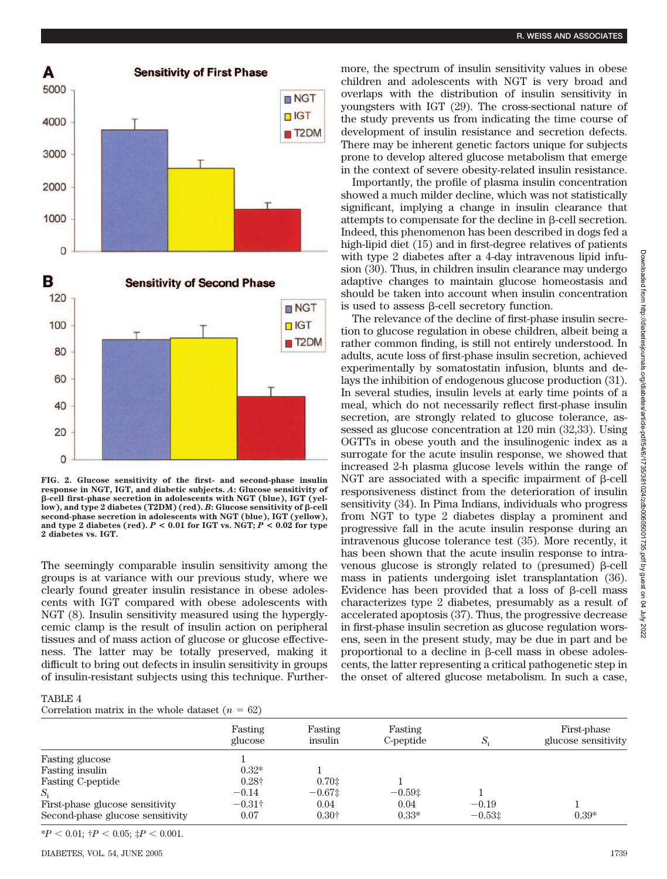

**FIG. 2. Glucose sensitivity of the first- and second-phase insulin response in NGT, IGT, and diabetic subjects.** *A***: Glucose sensitivity of -cell first-phase secretion in adolescents with NGT (blue), IGT (yel-** $\frac{1}{2}$ **low**), and type 2 diabetes (T2DM) (red). *B*: Glucose sensitivity of  $\beta$ -cell **second-phase secretion in adolescents with NGT (blue), IGT (yellow), and type 2 diabetes (red).** *P* **< 0.01 for IGT vs. NGT;** *P* **< 0.02 for type 2 diabetes vs. IGT.**

The seemingly comparable insulin sensitivity among the groups is at variance with our previous study, where we clearly found greater insulin resistance in obese adolescents with IGT compared with obese adolescents with NGT (8). Insulin sensitivity measured using the hyperglycemic clamp is the result of insulin action on peripheral tissues and of mass action of glucose or glucose effectiveness. The latter may be totally preserved, making it difficult to bring out defects in insulin sensitivity in groups of insulin-resistant subjects using this technique. Furthermore, the spectrum of insulin sensitivity values in obese children and adolescents with NGT is very broad and overlaps with the distribution of insulin sensitivity in youngsters with IGT (29). The cross-sectional nature of the study prevents us from indicating the time course of development of insulin resistance and secretion defects. There may be inherent genetic factors unique for subjects prone to develop altered glucose metabolism that emerge in the context of severe obesity-related insulin resistance.

Importantly, the profile of plasma insulin concentration showed a much milder decline, which was not statistically significant, implying a change in insulin clearance that attempts to compensate for the decline in  $\beta$ -cell secretion. Indeed, this phenomenon has been described in dogs fed a high-lipid diet (15) and in first-degree relatives of patients with type 2 diabetes after a 4-day intravenous lipid infusion (30). Thus, in children insulin clearance may undergo adaptive changes to maintain glucose homeostasis and should be taken into account when insulin concentration is used to assess  $\beta$ -cell secretory function.

The relevance of the decline of first-phase insulin secretion to glucose regulation in obese children, albeit being a rather common finding, is still not entirely understood. In adults, acute loss of first-phase insulin secretion, achieved experimentally by somatostatin infusion, blunts and delays the inhibition of endogenous glucose production (31). In several studies, insulin levels at early time points of a meal, which do not necessarily reflect first-phase insulin secretion, are strongly related to glucose tolerance, assessed as glucose concentration at 120 min (32,33). Using OGTTs in obese youth and the insulinogenic index as a surrogate for the acute insulin response, we showed that increased 2-h plasma glucose levels within the range of NGT are associated with a specific impairment of  $\beta$ -cell responsiveness distinct from the deterioration of insulin sensitivity (34). In Pima Indians, individuals who progress from NGT to type 2 diabetes display a prominent and progressive fall in the acute insulin response during an intravenous glucose tolerance test (35). More recently, it has been shown that the acute insulin response to intravenous glucose is strongly related to (presumed)  $\beta$ -cell mass in patients undergoing islet transplantation (36). Evidence has been provided that a loss of  $\beta$ -cell mass characterizes type 2 diabetes, presumably as a result of accelerated apoptosis (37). Thus, the progressive decrease in first-phase insulin secretion as glucose regulation worsens, seen in the present study, may be due in part and be proportional to a decline in  $\beta$ -cell mass in obese adolescents, the latter representing a critical pathogenetic step in the onset of altered glucose metabolism. In such a case,

#### TABLE 4

Correlation matrix in the whole dataset  $(n = 62)$ 

|                                  | Fasting<br>glucose | Fasting<br>insulin | Fasting<br>C-peptide | S.       | First-phase<br>glucose sensitivity |
|----------------------------------|--------------------|--------------------|----------------------|----------|------------------------------------|
| Fasting glucose                  |                    |                    |                      |          |                                    |
| <b>Fasting insulin</b>           | $0.32*$            |                    |                      |          |                                    |
| <b>Fasting C-peptide</b>         | $0.28\dagger$      | 0.701              |                      |          |                                    |
| $S_i$                            | $-0.14$            | $-0.671$           | $-0.59$ $\pm$        |          |                                    |
| First-phase glucose sensitivity  | $-0.31\dagger$     | 0.04               | 0.04                 | $-0.19$  |                                    |
| Second-phase glucose sensitivity | 0.07               | $0.30\dagger$      | $0.33*$              | $-0.531$ | $0.39*$                            |

 $*P < 0.01$ ;  $\dagger P < 0.05$ ;  $\ddagger P < 0.001$ .

2022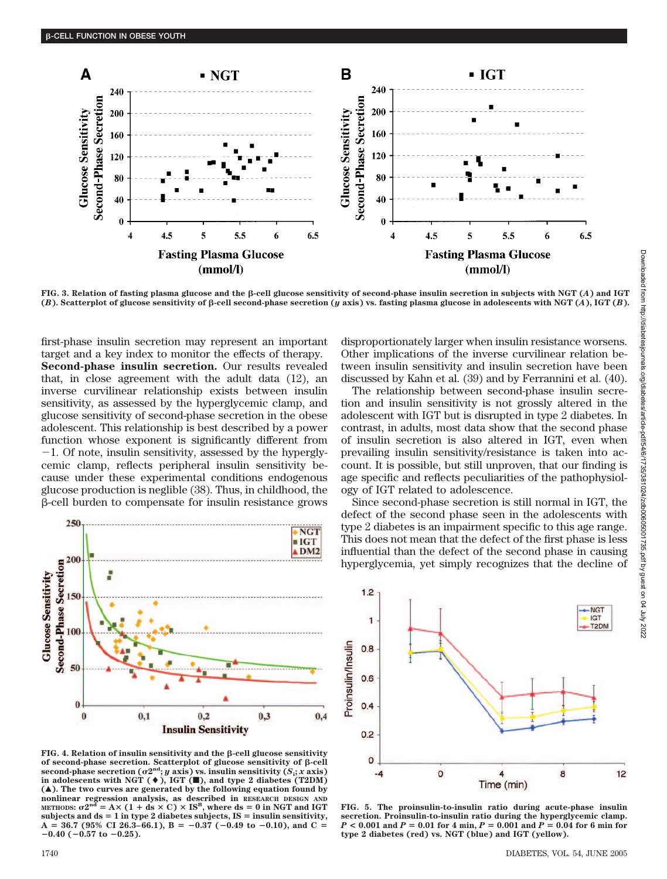

**FIG. 3. Relation of fasting plasma glucose and the -cell glucose sensitivity of second-phase insulin secretion in subjects with NGT (***A***) and IGT**  $(B)$ . Scatterplot of glucose sensitivity of  $\beta$ -cell second-phase secretion (*y* axis) vs. fasting plasma glucose in adolescents with NGT (*A*), IGT (*B*).

first-phase insulin secretion may represent an important target and a key index to monitor the effects of therapy. **Second-phase insulin secretion.** Our results revealed that, in close agreement with the adult data (12), an inverse curvilinear relationship exists between insulin sensitivity, as assessed by the hyperglycemic clamp, and glucose sensitivity of second-phase secretion in the obese adolescent. This relationship is best described by a power function whose exponent is significantly different from  $-1$ . Of note, insulin sensitivity, assessed by the hyperglycemic clamp, reflects peripheral insulin sensitivity because under these experimental conditions endogenous glucose production is neglible (38). Thus, in childhood, the -cell burden to compensate for insulin resistance grows



 $FIG. 4. Relation of insulin sensitivity and the  $\beta$ -cell glucose sensitivity$ **of second-phase secretion. Scatterplot of glucose sensitivity of -cell**  $\mathbf{s}$  **econd-phase secretion (** $\sigma 2^{\text{nd}}$ **;**  $y$   $\overline{\text{axis}}$ ) vs. insulin sensitivity ( $S_i$ ;  $x$   $\overline{\text{axis}}$ ) **in adolescents with NGT (), IGT (**f**), and type 2 diabetes (T2DM) (**Œ**). The two curves are generated by the following equation found by nonlinear regression analysis, as described in RESEARCH DESIGN AND** METHODS:  $\sigma 2^{nd} = A \times (1 + ds \times C) \times IS^B$ , where ds = 0 in NGT and IGT subjects and  $ds = 1$  in type 2 diabetes subjects,  $IS =$  insulin sensitivity,  $A = 36.7$  (95% CI 26.3–66.1),  $B = -0.37$  (-0.49 to -0.10), and C =  $-0.40$  ( $-0.57$  to  $-0.25$ ).

disproportionately larger when insulin resistance worsens. Other implications of the inverse curvilinear relation between insulin sensitivity and insulin secretion have been discussed by Kahn et al. (39) and by Ferrannini et al. (40).

The relationship between second-phase insulin secretion and insulin sensitivity is not grossly altered in the adolescent with IGT but is disrupted in type 2 diabetes. In contrast, in adults, most data show that the second phase of insulin secretion is also altered in IGT, even when prevailing insulin sensitivity/resistance is taken into account. It is possible, but still unproven, that our finding is age specific and reflects peculiarities of the pathophysiology of IGT related to adolescence.

Since second-phase secretion is still normal in IGT, the defect of the second phase seen in the adolescents with type 2 diabetes is an impairment specific to this age range. This does not mean that the defect of the first phase is less influential than the defect of the second phase in causing hyperglycemia, yet simply recognizes that the decline of



**FIG. 5. The proinsulin-to-insulin ratio during acute-phase insulin secretion. Proinsulin-to-insulin ratio during the hyperglycemic clamp.** *P* **< 0.001 and** *P* - **0.01 for 4 min,** *P* - **0.001 and** *P* - **0.04 for 6 min for type 2 diabetes (red) vs. NGT (blue) and IGT (yellow).**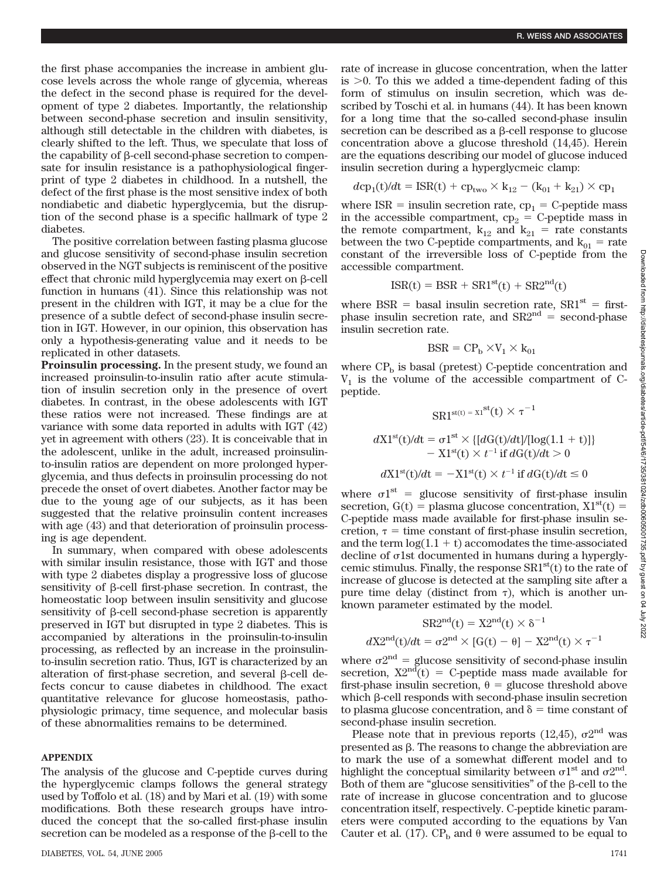the first phase accompanies the increase in ambient glucose levels across the whole range of glycemia, whereas the defect in the second phase is required for the development of type 2 diabetes. Importantly, the relationship between second-phase secretion and insulin sensitivity, although still detectable in the children with diabetes, is clearly shifted to the left. Thus, we speculate that loss of the capability of B-cell second-phase secretion to compensate for insulin resistance is a pathophysiological fingerprint of type 2 diabetes in childhood. In a nutshell, the defect of the first phase is the most sensitive index of both nondiabetic and diabetic hyperglycemia, but the disruption of the second phase is a specific hallmark of type 2 diabetes.

The positive correlation between fasting plasma glucose and glucose sensitivity of second-phase insulin secretion observed in the NGT subjects is reminiscent of the positive effect that chronic mild hyperglycemia may exert on  $\beta$ -cell function in humans (41). Since this relationship was not present in the children with IGT, it may be a clue for the presence of a subtle defect of second-phase insulin secretion in IGT. However, in our opinion, this observation has only a hypothesis-generating value and it needs to be replicated in other datasets.

**Proinsulin processing.** In the present study, we found an increased proinsulin-to-insulin ratio after acute stimulation of insulin secretion only in the presence of overt diabetes. In contrast, in the obese adolescents with IGT these ratios were not increased. These findings are at variance with some data reported in adults with IGT (42) yet in agreement with others (23). It is conceivable that in the adolescent, unlike in the adult, increased proinsulinto-insulin ratios are dependent on more prolonged hyperglycemia, and thus defects in proinsulin processing do not precede the onset of overt diabetes. Another factor may be due to the young age of our subjects, as it has been suggested that the relative proinsulin content increases with age  $(43)$  and that deterioration of proinsulin processing is age dependent.

In summary, when compared with obese adolescents with similar insulin resistance, those with IGT and those with type 2 diabetes display a progressive loss of glucose sensitivity of  $\beta$ -cell first-phase secretion. In contrast, the homeostatic loop between insulin sensitivity and glucose sensitivity of  $\beta$ -cell second-phase secretion is apparently preserved in IGT but disrupted in type 2 diabetes. This is accompanied by alterations in the proinsulin-to-insulin processing, as reflected by an increase in the proinsulinto-insulin secretion ratio. Thus, IGT is characterized by an alteration of first-phase secretion, and several B-cell defects concur to cause diabetes in childhood. The exact quantitative relevance for glucose homeostasis, pathophysiologic primacy, time sequence, and molecular basis of these abnormalities remains to be determined.

## **APPENDIX**

The analysis of the glucose and C-peptide curves during the hyperglycemic clamps follows the general strategy used by Toffolo et al. (18) and by Mari et al. (19) with some modifications. Both these research groups have introduced the concept that the so-called first-phase insulin secretion can be modeled as a response of the  $\beta$ -cell to the rate of increase in glucose concentration, when the latter is  $>0$ . To this we added a time-dependent fading of this form of stimulus on insulin secretion, which was described by Toschi et al. in humans (44). It has been known for a long time that the so-called second-phase insulin secretion can be described as a  $\beta$ -cell response to glucose concentration above a glucose threshold (14,45). Herein are the equations describing our model of glucose induced insulin secretion during a hyperglycmeic clamp:

$$
dcp_1(t)/dt = ISR(t) + cp_{two} \times k_{12} - (k_{01} + k_{21}) \times cp_1
$$

where  $ISR =$  insulin secretion rate,  $cp_1 = C$ -peptide mass in the accessible compartment,  $cp_2 = C$ -peptide mass in the remote compartment,  $k_{12}$  and  $k_{21}$  = rate constants between the two C-peptide compartments, and  $k_{01}$  = rate constant of the irreversible loss of C-peptide from the accessible compartment.

$$
ISR(t) = BSR + SR1st(t) + SR2nd(t)
$$

where BSR = basal insulin secretion rate,  $SR1^{st}$  = firstphase insulin secretion rate, and  $SR2<sup>nd</sup>$  = second-phase insulin secretion rate.

$$
\text{BSR} = \text{CP}_b \times \text{V}_1 \times \text{k}_{01}
$$

where  $\rm CP_{b}$  is basal (pretest) C-peptide concentration and  $V_1$  is the volume of the accessible compartment of Cpeptide.

 $\text{CD}_1\text{st}(t) = \text{XI}^{\text{st}}(t) \times \tau^{-1}$ 

$$
dX1^{st}(t)/dt = \sigma1^{st} \times \{[dG(t)/dt]/[log(1.1 + t)]\}
$$

$$
- X1^{st}(t) \times t^{-1} \text{ if } dG(t)/dt > 0
$$

$$
dX1^{st}(t)/dt = -X1^{st}(t) \times t^{-1} \text{ if } dG(t)/dt \le 0
$$

where  $\sigma_1^{\text{st}} =$  glucose sensitivity of first-phase insulin secretion,  $G(t)$  = plasma glucose concentration,  $X1<sup>st</sup>(t)$  = C-peptide mass made available for first-phase insulin secretion,  $\tau$  = time constant of first-phase insulin secretion, and the term  $log(1.1 + t)$  accomodates the time-associated  $\alpha$  decline of  $\sigma$ 1st documented in humans during a hyperglycemic stimulus. Finally, the response  $SR1<sup>st</sup>(t)$  to the rate of increase of glucose is detected at the sampling site after a pure time delay (distinct from  $\tau$ ), which is another unknown parameter estimated by the model.

$$
SR2nd(t) = X2nd(t) \times \delta^{-1}
$$

$$
dX2nd(t)/dt = \sigma 2nd \times [G(t) - \theta] - X2nd(t) \times \tau^{-1}
$$

where  $\sigma 2^{nd}$  = glucose sensitivity of second-phase insulin secretion,  $X2<sup>nd</sup>(t) = C$ -peptide mass made available for first-phase insulin secretion,  $\theta$  = glucose threshold above which  $\beta$ -cell responds with second-phase insulin secretion to plasma glucose concentration, and  $\delta$  = time constant of second-phase insulin secretion.

Please note that in previous reports (12,45),  $\sigma$ 2<sup>nd</sup> was presented as  $\beta$ . The reasons to change the abbreviation are to mark the use of a somewhat different model and to highlight the conceptual similarity between  $\sigma$ 1<sup>st</sup> and  $\sigma$ 2<sup>nd</sup>. Both of them are "glucose sensitivities" of the  $\beta$ -cell to the rate of increase in glucose concentration and to glucose concentration itself, respectively. C-peptide kinetic parameters were computed according to the equations by Van Cauter et al. (17).  $CP_b$  and  $\theta$  were assumed to be equal to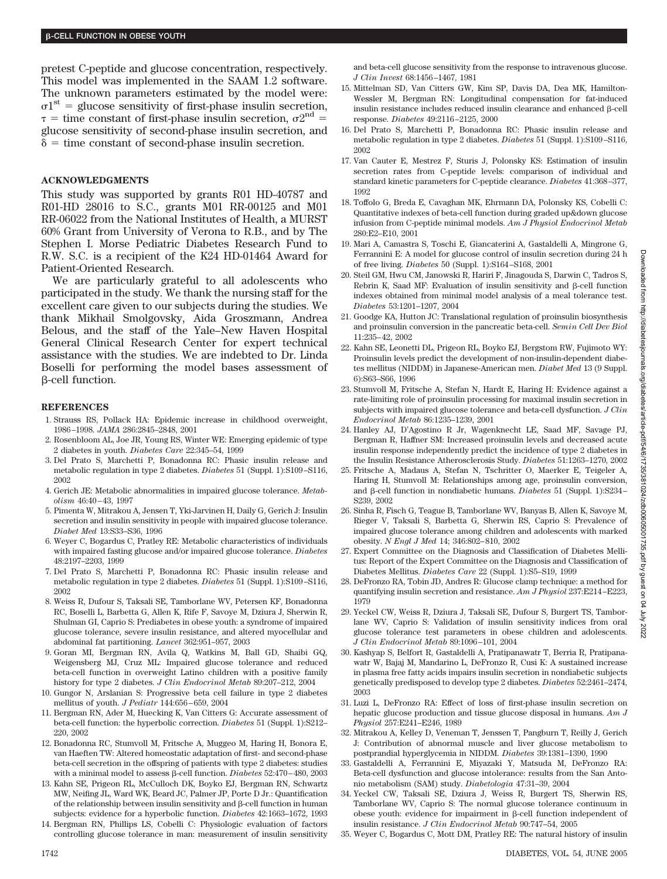pretest C-peptide and glucose concentration, respectively. This model was implemented in the SAAM 1.2 software. The unknown parameters estimated by the model were:  $\sigma$ 1<sup>st</sup> = glucose sensitivity of first-phase insulin secretion,  $\tau$  = time constant of first-phase insulin secretion,  $\sigma 2^{nd}$  = glucose sensitivity of second-phase insulin secretion, and  $\delta$  = time constant of second-phase insulin secretion.

## **ACKNOWLEDGMENTS**

This study was supported by grants R01 HD-40787 and R01-HD 28016 to S.C., grants M01 RR-00125 and M01 RR-06022 from the National Institutes of Health, a MURST 60% Grant from University of Verona to R.B., and by The Stephen I. Morse Pediatric Diabetes Research Fund to R.W. S.C. is a recipient of the K24 HD-01464 Award for Patient-Oriented Research.

We are particularly grateful to all adolescents who participated in the study. We thank the nursing staff for the excellent care given to our subjects during the studies. We thank Mikhail Smolgovsky, Aida Groszmann, Andrea Belous, and the staff of the Yale–New Haven Hospital General Clinical Research Center for expert technical assistance with the studies. We are indebted to Dr. Linda Boselli for performing the model bases assessment of -cell function.

#### **REFERENCES**

- 1. Strauss RS, Pollack HA: Epidemic increase in childhood overweight, 1986–1998. *JAMA* 286:2845–2848, 2001
- 2. Rosenbloom AL, Joe JR, Young RS, Winter WE: Emerging epidemic of type 2 diabetes in youth. *Diabetes Care* 22:345–54, 1999
- 3. Del Prato S, Marchetti P, Bonadonna RC: Phasic insulin release and metabolic regulation in type 2 diabetes. *Diabetes* 51 (Suppl. 1):S109–S116, 2002
- 4. Gerich JE: Metabolic abnormalities in impaired glucose tolerance. *Metabolism* 46:40–43, 1997
- 5. Pimenta W, Mitrakou A, Jensen T, Yki-Jarvinen H, Daily G, Gerich J: Insulin secretion and insulin sensitivity in people with impaired glucose tolerance. *Diabet Med* 13:S33–S36, 1996
- 6. Weyer C, Bogardus C, Pratley RE: Metabolic characteristics of individuals with impaired fasting glucose and/or impaired glucose tolerance. *Diabetes* 48:2197–2203, 1999
- 7. Del Prato S, Marchetti P, Bonadonna RC: Phasic insulin release and metabolic regulation in type 2 diabetes. *Diabetes* 51 (Suppl. 1):S109–S116, 2002
- 8. Weiss R, Dufour S, Taksali SE, Tamborlane WV, Petersen KF, Bonadonna RC, Boselli L, Barbetta G, Allen K, Rife F, Savoye M, Dziura J, Sherwin R, Shulman GI, Caprio S: Prediabetes in obese youth: a syndrome of impaired glucose tolerance, severe insulin resistance, and altered myocellular and abdominal fat partitioning. *Lancet* 362:951–957, 2003
- 9. Goran MI, Bergman RN, Avila Q, Watkins M, Ball GD, Shaibi GQ, Weigensberg MJ, Cruz ML: Impaired glucose tolerance and reduced beta-cell function in overweight Latino children with a positive family history for type 2 diabetes. *J Clin Endocrinol Metab* 89:207–212, 2004
- 10. Gungor N, Arslanian S: Progressive beta cell failure in type 2 diabetes mellitus of youth. *J Pediatr* 144:656–659, 2004
- 11. Bergman RN, Ader M, Huecking K, Van Citters G: Accurate assessment of beta-cell function: the hyperbolic correction. *Diabetes* 51 (Suppl. 1):S212– 220, 2002
- 12. Bonadonna RC, Stumvoll M, Fritsche A, Muggeo M, Haring H, Bonora E, van Haeften TW: Altered homeostatic adaptation of first- and second-phase beta-cell secretion in the offspring of patients with type 2 diabetes: studies with a minimal model to assess β-cell function. *Diabetes* 52:470-480, 2003
- 13. Kahn SE, Prigeon RL, McCulloch DK, Boyko EJ, Bergman RN, Schwartz MW, Neifing JL, Ward WK, Beard JC, Palmer JP, Porte D Jr.: Quantification of the relationship between insulin sensitivity and B-cell function in human subjects: evidence for a hyperbolic function. *Diabetes* 42:1663–1672, 1993
- 14. Bergman RN, Phillips LS, Cobelli C: Physiologic evaluation of factors controlling glucose tolerance in man: measurement of insulin sensitivity

and beta-cell glucose sensitivity from the response to intravenous glucose. *J Clin Invest* 68:1456–1467, 1981

- 15. Mittelman SD, Van Citters GW, Kim SP, Davis DA, Dea MK, Hamilton-Wessler M, Bergman RN: Longitudinal compensation for fat-induced insulin resistance includes reduced insulin clearance and enhanced B-cell response. *Diabetes* 49:2116–2125, 2000
- 16. Del Prato S, Marchetti P, Bonadonna RC: Phasic insulin release and metabolic regulation in type 2 diabetes. *Diabetes* 51 (Suppl. 1):S109–S116, 2002
- 17. Van Cauter E, Mestrez F, Sturis J, Polonsky KS: Estimation of insulin secretion rates from C-peptide levels: comparison of individual and standard kinetic parameters for C-peptide clearance. *Diabetes* 41:368–377, 1992
- 18. Toffolo G, Breda E, Cavaghan MK, Ehrmann DA, Polonsky KS, Cobelli C: Quantitative indexes of beta-cell function during graded up&down glucose infusion from C-peptide minimal models. *Am J Physiol Endocrinol Metab* 280:E2–E10, 2001
- 19. Mari A, Camastra S, Toschi E, Giancaterini A, Gastaldelli A, Mingrone G, Ferrannini E: A model for glucose control of insulin secretion during 24 h of free living. *Diabetes* 50 (Suppl. 1):S164–S168, 2001
- 20. Steil GM, Hwu CM, Janowski R, Hariri F, Jinagouda S, Darwin C, Tadros S, Rebrin K, Saad MF: Evaluation of insulin sensitivity and B-cell function indexes obtained from minimal model analysis of a meal tolerance test. *Diabetes* 53:1201–1207, 2004
- 21. Goodge KA, Hutton JC: Translational regulation of proinsulin biosynthesis and proinsulin conversion in the pancreatic beta-cell. *Semin Cell Dev Biol* 11:235–42, 2002
- 22. Kahn SE, Leonetti DL, Prigeon RL, Boyko EJ, Bergstom RW, Fujimoto WY: Proinsulin levels predict the development of non-insulin-dependent diabetes mellitus (NIDDM) in Japanese-American men. *Diabet Med* 13 (9 Suppl. 6):S63–S66, 1996
- 23. Stumvoll M, Fritsche A, Stefan N, Hardt E, Haring H: Evidence against a rate-limiting role of proinsulin processing for maximal insulin secretion in subjects with impaired glucose tolerance and beta-cell dysfunction. *J Clin Endocrinol Metab* 86:1235–1239, 2001
- 24. Hanley AJ, D'Agostino R Jr, Wagenknecht LE, Saad MF, Savage PJ, Bergman R, Haffner SM: Increased proinsulin levels and decreased acute insulin response independently predict the incidence of type 2 diabetes in the Insulin Resistance Atherosclerosis Study. *Diabetes* 51:1263–1270, 2002
- 25. Fritsche A, Madaus A, Stefan N, Tschritter O, Maerker E, Teigeler A, Haring H, Stumvoll M: Relationships among age, proinsulin conversion, and  $\beta$ -cell function in nondiabetic humans. *Diabetes* 51 (Suppl. 1):S234– S239, 2002
- 26. Sinha R, Fisch G, Teague B, Tamborlane WV, Banyas B, Allen K, Savoye M, Rieger V, Taksali S, Barbetta G, Sherwin RS, Caprio S: Prevalence of impaired glucose tolerance among children and adolescents with marked obesity. *N Engl J Med* 14; 346:802–810, 2002
- 27. Expert Committee on the Diagnosis and Classification of Diabetes Mellitus: Report of the Expert Committee on the Diagnosis and Classification of Diabetes Mellitus. *Diabetes Care* 22 (Suppl. 1):S5–S19, 1999
- 28. DeFronzo RA, Tobin JD, Andres R: Glucose clamp technique: a method for quantifying insulin secretion and resistance. *Am J Physiol* 237:E214–E223, 1979
- 29. Yeckel CW, Weiss R, Dziura J, Taksali SE, Dufour S, Burgert TS, Tamborlane WV, Caprio S: Validation of insulin sensitivity indices from oral glucose tolerance test parameters in obese children and adolescents. *J Clin Endocrinol Metab* 89:1096–101, 2004
- 30. Kashyap S, Belfort R, Gastaldelli A, Pratipanawatr T, Berria R, Pratipanawatr W, Bajaj M, Mandarino L, DeFronzo R, Cusi K: A sustained increase in plasma free fatty acids impairs insulin secretion in nondiabetic subjects genetically predisposed to develop type 2 diabetes. *Diabetes* 52:2461–2474, 2003
- 31. Luzi L, DeFronzo RA: Effect of loss of first-phase insulin secretion on hepatic glucose production and tissue glucose disposal in humans. *Am J Physiol* 257:E241–E246, 1989
- 32. Mitrakou A, Kelley D, Veneman T, Jenssen T, Pangburn T, Reilly J, Gerich J: Contribution of abnormal muscle and liver glucose metabolism to postprandial hyperglycemia in NIDDM. *Diabetes* 39:1381–1390, 1990
- 33. Gastaldelli A, Ferrannini E, Miyazaki Y, Matsuda M, DeFronzo RA: Beta-cell dysfunction and glucose intolerance: results from the San Antonio metabolism (SAM) study. *Diabetologia* 47:31–39, 2004
- 34. Yeckel CW, Taksali SE, Dziura J, Weiss R, Burgert TS, Sherwin RS, Tamborlane WV, Caprio S: The normal glucose tolerance continuum in obese youth: evidence for impairment in  $\beta$ -cell function independent of insulin resistance. *J Clin Endocrinol Metab* 90:747–54, 2005
- 35. Weyer C, Bogardus C, Mott DM, Pratley RE: The natural history of insulin